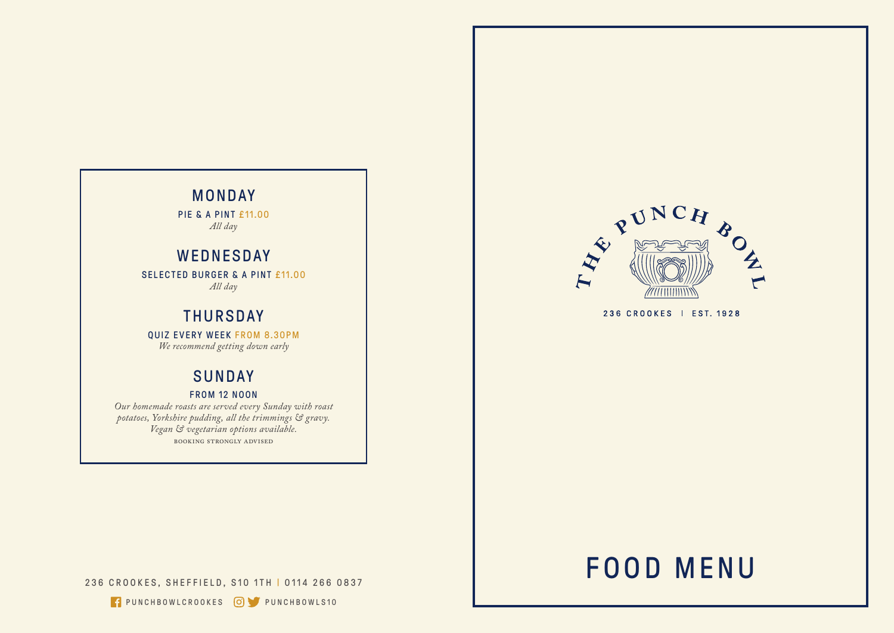236 CROOKES, SHEFFIELD, S10 1TH | 0114 266 0837

# FOOD MENU



236 CROOKES | EST. 1928

### MONDAY

PIE & A PINT £11.00 *All day*

#### WEDNESDAY

SELECTED BURGER & A PINT £11.00 *All day*

#### THURSDAY

QUIZ EVERY WEEK FROM 8.30PM *We recommend getting down early*

#### SUNDAY

#### FROM 12 NOON

*Our homemade roasts are served every Sunday with roast potatoes, Yorkshire pudding, all the trimmings & gravy. Vegan & vegetarian options available.* booking strongly advised